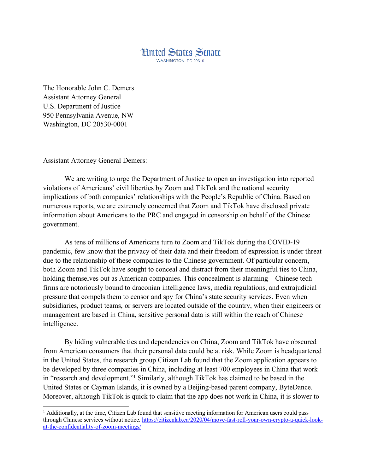

The Honorable John C. Demers Assistant Attorney General U.S. Department of Justice 950 Pennsylvania Avenue, NW Washington, DC 20530-0001

Assistant Attorney General Demers:

 $\overline{\phantom{a}}$ 

We are writing to urge the Department of Justice to open an investigation into reported violations of Americans' civil liberties by Zoom and TikTok and the national security implications of both companies' relationships with the People's Republic of China. Based on numerous reports, we are extremely concerned that Zoom and TikTok have disclosed private information about Americans to the PRC and engaged in censorship on behalf of the Chinese government.

As tens of millions of Americans turn to Zoom and TikTok during the COVID-19 pandemic, few know that the privacy of their data and their freedom of expression is under threat due to the relationship of these companies to the Chinese government. Of particular concern, both Zoom and TikTok have sought to conceal and distract from their meaningful ties to China, holding themselves out as American companies. This concealment is alarming – Chinese tech firms are notoriously bound to draconian intelligence laws, media regulations, and extrajudicial pressure that compels them to censor and spy for China's state security services. Even when subsidiaries, product teams, or servers are located outside of the country, when their engineers or management are based in China, sensitive personal data is still within the reach of Chinese intelligence.

By hiding vulnerable ties and dependencies on China, Zoom and TikTok have obscured from American consumers that their personal data could be at risk. While Zoom is headquartered in the United States, the research group Citizen Lab found that the Zoom application appears to be developed by three companies in China, including at least 700 employees in China that work in "research and development."1 Similarly, although TikTok has claimed to be based in the United States or Cayman Islands, it is owned by a Beijing-based parent company, ByteDance. Moreover, although TikTok is quick to claim that the app does not work in China, it is slower to

 $<sup>1</sup>$  Additionally, at the time, Citizen Lab found that sensitive meeting information for American users could pass</sup> through Chinese services without notice. https://citizenlab.ca/2020/04/move-fast-roll-your-own-crypto-a-quick-lookat-the-confidentiality-of-zoom-meetings/